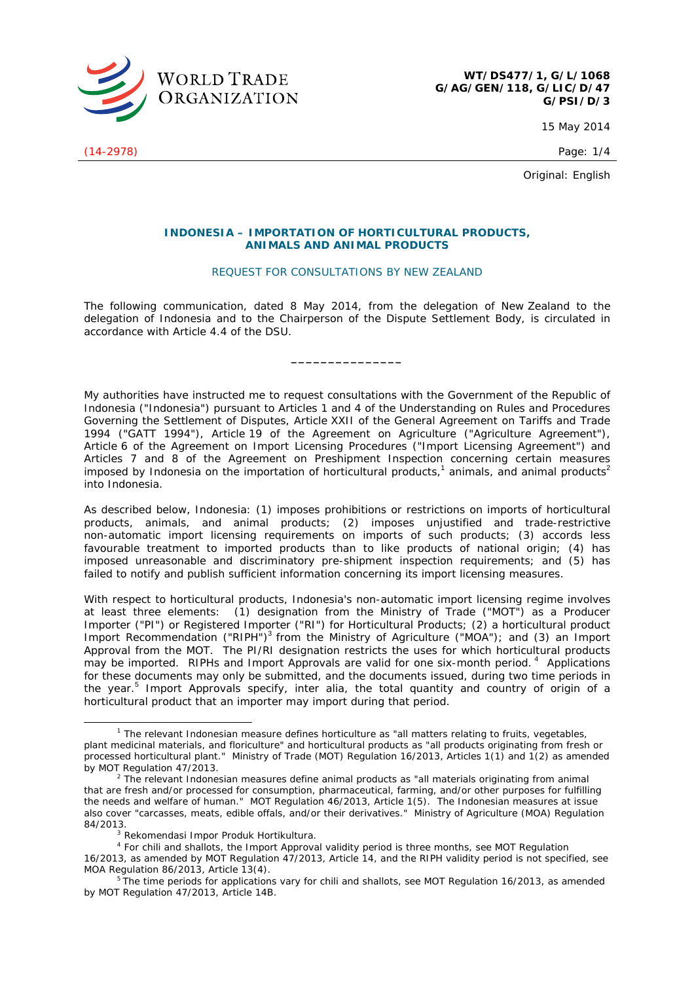

15 May 2014

Original: English

## **INDONESIA – IMPORTATION OF HORTICULTURAL PRODUCTS, ANIMALS AND ANIMAL PRODUCTS**

## REQUEST FOR CONSULTATIONS BY NEW ZEALAND

The following communication, dated 8 May 2014, from the delegation of New Zealand to the delegation of Indonesia and to the Chairperson of the Dispute Settlement Body, is circulated in accordance with Article 4.4 of the DSU.

**\_\_\_\_\_\_\_\_\_\_\_\_\_\_\_** 

My authorities have instructed me to request consultations with the Government of the Republic of Indonesia ("Indonesia") pursuant to Articles 1 and 4 of the *Understanding on Rules and Procedures Governing the Settlement of Disputes*, Article XXII of the *General Agreement on Tariffs and Trade 1994* ("GATT 1994"), Article 19 of the *Agreement on Agriculture* ("Agriculture Agreement"), Article 6 of the *Agreement on Import Licensing Procedures* ("Import Licensing Agreement") and Articles 7 and 8 of the *Agreement on Preshipment Inspection* concerning certain measures imposed by Indonesia on the importation of horticultural products,<sup>1</sup> animals, and animal products<sup>2</sup> into Indonesia.

As described below, Indonesia: (1) imposes prohibitions or restrictions on imports of horticultural products, animals, and animal products; (2) imposes unjustified and trade-restrictive non-automatic import licensing requirements on imports of such products; (3) accords less favourable treatment to imported products than to like products of national origin; (4) has imposed unreasonable and discriminatory pre-shipment inspection requirements; and (5) has failed to notify and publish sufficient information concerning its import licensing measures.

With respect to horticultural products, Indonesia's non-automatic import licensing regime involves at least three elements: (1) designation from the Ministry of Trade ("MOT") as a Producer Importer ("PI") or Registered Importer ("RI") for Horticultural Products; (2) a horticultural product Import Recommendation ("RIPH")<sup>3</sup> from the Ministry of Agriculture ("MOA"); and (3) an Import Approval from the MOT. The PI/RI designation restricts the uses for which horticultural products may be imported. RIPHs and Import Approvals are valid for one six-month period.<sup>4</sup> Applications for these documents may only be submitted, and the documents issued, during two time periods in the year.<sup>5</sup> Import Approvals specify, *inter alia*, the total quantity and country of origin of a horticultural product that an importer may import during that period.

(14-2978) Page: 1/4

 $\frac{1}{1}$ <sup>1</sup> The relevant Indonesian measure defines horticulture as "all matters relating to fruits, vegetables, plant medicinal materials, and floriculture" and horticultural products as "all products originating from fresh or processed horticultural plant." Ministry of Trade (MOT) Regulation 16/2013, Articles 1(1) and 1(2) as amended by MOT Regulation 47/2013.

The relevant Indonesian measures define animal products as "all materials originating from animal that are fresh and/or processed for consumption, pharmaceutical, farming, and/or other purposes for fulfilling the needs and welfare of human." MOT Regulation 46/2013, Article 1(5). The Indonesian measures at issue also cover "carcasses, meats, edible offals, and/or their derivatives." Ministry of Agriculture (MOA) Regulation 84/2013. 3 *Rekomendasi Impor Produk Hortikultura.*

<sup>4</sup> For chili and shallots, the Import Approval validity period is three months, *see* MOT Regulation

<sup>16/2013,</sup> as amended by MOT Regulation 47/2013, Article 14, and the RIPH validity period is not specified, *see* MOA Regulation 86/2013, Article 13(4).<br><sup>5</sup> The time periods for applications vary for chili and shallots, *see* MOT Regulation 16/2013, as amended

by MOT Regulation 47/2013, Article 14B.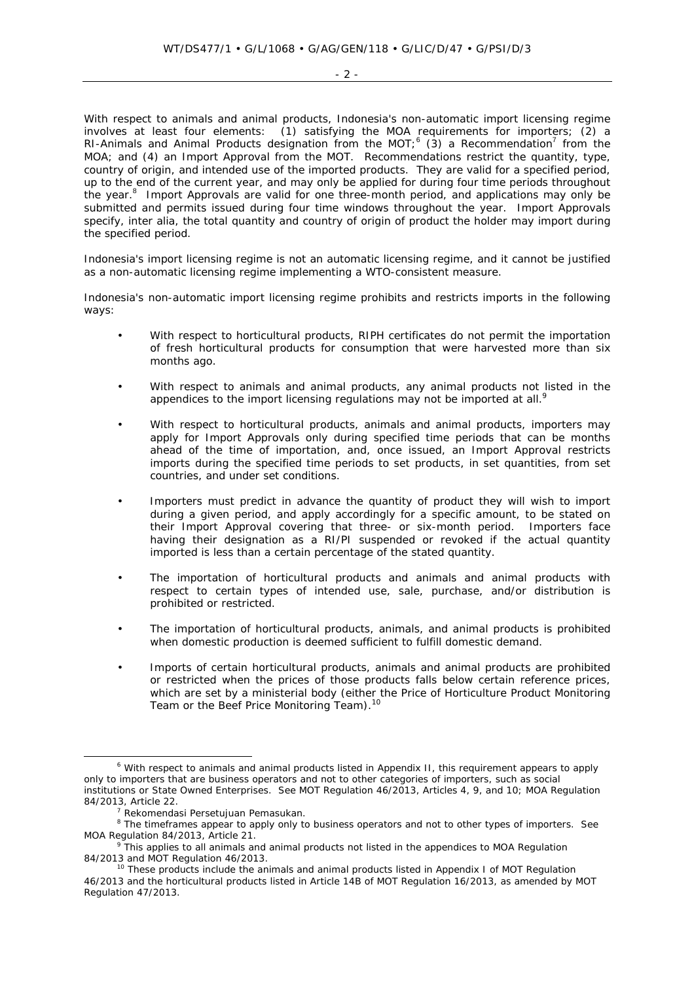With respect to animals and animal products, Indonesia's non-automatic import licensing regime involves at least four elements: (1) satisfying the MOA requirements for importers; (2) a RI-Animals and Animal Products designation from the MOT;<sup>6</sup> (3) a Recommendation<sup>7</sup> from the MOA; and (4) an Import Approval from the MOT. Recommendations restrict the quantity, type, country of origin, and intended use of the imported products. They are valid for a specified period, up to the end of the current year, and may only be applied for during four time periods throughout the year.<sup>8</sup> Import Approvals are valid for one three-month period, and applications may only be submitted and permits issued during four time windows throughout the year. Import Approvals specify, *inter alia*, the total quantity and country of origin of product the holder may import during the specified period.

Indonesia's import licensing regime is not an automatic licensing regime, and it cannot be justified as a non-automatic licensing regime implementing a WTO-consistent measure.

Indonesia's non-automatic import licensing regime prohibits and restricts imports in the following ways:

- With respect to horticultural products, RIPH certificates do not permit the importation of fresh horticultural products for consumption that were harvested more than six months ago.
- With respect to animals and animal products, any animal products not listed in the appendices to the import licensing regulations may not be imported at all.<sup>9</sup>
- With respect to horticultural products, animals and animal products, importers may apply for Import Approvals only during specified time periods that can be months ahead of the time of importation, and, once issued, an Import Approval restricts imports during the specified time periods to set products, in set quantities, from set countries, and under set conditions.
- Importers must predict in advance the quantity of product they will wish to import during a given period, and apply accordingly for a specific amount, to be stated on their Import Approval covering that three- or six-month period. Importers face having their designation as a RI/PI suspended or revoked if the actual quantity imported is less than a certain percentage of the stated quantity.
- The importation of horticultural products and animals and animal products with respect to certain types of intended use, sale, purchase, and/or distribution is prohibited or restricted.
- The importation of horticultural products, animals, and animal products is prohibited when domestic production is deemed sufficient to fulfill domestic demand.
- Imports of certain horticultural products, animals and animal products are prohibited or restricted when the prices of those products falls below certain reference prices, which are set by a ministerial body (either the Price of Horticulture Product Monitoring Team or the Beef Price Monitoring Team).<sup>10</sup>

 <sup>6</sup> <sup>6</sup> With respect to animals and animal products listed in Appendix II, this requirement appears to apply only to importers that are business operators and not to other categories of importers, such as social institutions or State Owned Enterprises. *See* MOT Regulation 46/2013, Articles 4, 9, and 10; MOA Regulation 84/2013, Article 22. 7 *Rekomendasi Persetujuan Pemasukan*. 8

The timeframes appear to apply only to business operators and not to other types of importers. *See* MOA Regulation 84/2013, Article 21.

This applies to all animals and animal products not listed in the appendices to MOA Regulation 84/2013 and MOT Regulation 46/2013.<br><sup>10</sup> These products include the animals and animal products listed in Appendix I of MOT Regulation

<sup>46/2013</sup> and the horticultural products listed in Article 14B of MOT Regulation 16/2013, as amended by MOT Regulation 47/2013.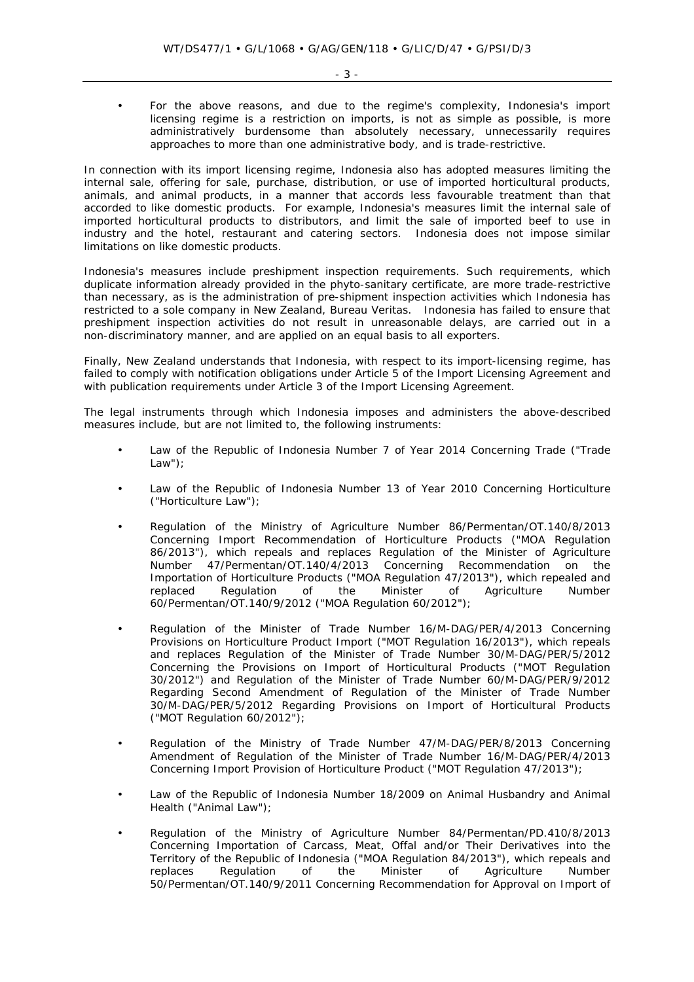• For the above reasons, and due to the regime's complexity, Indonesia's import licensing regime is a restriction on imports, is not as simple as possible, is more administratively burdensome than absolutely necessary, unnecessarily requires approaches to more than one administrative body, and is trade-restrictive.

In connection with its import licensing regime, Indonesia also has adopted measures limiting the internal sale, offering for sale, purchase, distribution, or use of imported horticultural products, animals, and animal products, in a manner that accords less favourable treatment than that accorded to like domestic products. For example, Indonesia's measures limit the internal sale of imported horticultural products to distributors, and limit the sale of imported beef to use in industry and the hotel, restaurant and catering sectors. Indonesia does not impose similar limitations on like domestic products.

Indonesia's measures include preshipment inspection requirements. Such requirements, which duplicate information already provided in the phyto-sanitary certificate, are more trade-restrictive than necessary, as is the administration of pre-shipment inspection activities which Indonesia has restricted to a sole company in New Zealand, Bureau Veritas. Indonesia has failed to ensure that preshipment inspection activities do not result in unreasonable delays, are carried out in a non-discriminatory manner, and are applied on an equal basis to all exporters.

Finally, New Zealand understands that Indonesia, with respect to its import-licensing regime, has failed to comply with notification obligations under Article 5 of the Import Licensing Agreement and with publication requirements under Article 3 of the Import Licensing Agreement.

The legal instruments through which Indonesia imposes and administers the above-described measures include, but are not limited to, the following instruments:

- Law of the Republic of Indonesia Number 7 of Year 2014 Concerning Trade ("Trade Law");
- Law of the Republic of Indonesia Number 13 of Year 2010 Concerning Horticulture ("Horticulture Law");
- Regulation of the Ministry of Agriculture Number 86/Permentan/OT.140/8/2013 Concerning Import Recommendation of Horticulture Products ("MOA Regulation 86/2013"), which repeals and replaces Regulation of the Minister of Agriculture Number 47/Permentan/OT.140/4/2013 Concerning Recommendation on the Importation of Horticulture Products ("MOA Regulation 47/2013"), which repealed and replaced Regulation of the Minister of Agriculture Number 60/Permentan/OT.140/9/2012 ("MOA Regulation 60/2012");
- Regulation of the Minister of Trade Number 16/M-DAG/PER/4/2013 Concerning Provisions on Horticulture Product Import ("MOT Regulation 16/2013"), which repeals and replaces Regulation of the Minister of Trade Number 30/M-DAG/PER/5/2012 Concerning the Provisions on Import of Horticultural Products ("MOT Regulation 30/2012") and Regulation of the Minister of Trade Number 60/M-DAG/PER/9/2012 Regarding Second Amendment of Regulation of the Minister of Trade Number 30/M-DAG/PER/5/2012 Regarding Provisions on Import of Horticultural Products ("MOT Regulation 60/2012");
- Regulation of the Ministry of Trade Number 47/M-DAG/PER/8/2013 Concerning Amendment of Regulation of the Minister of Trade Number 16/M-DAG/PER/4/2013 Concerning Import Provision of Horticulture Product ("MOT Regulation 47/2013");
- Law of the Republic of Indonesia Number 18/2009 on Animal Husbandry and Animal Health ("Animal Law");
- Regulation of the Ministry of Agriculture Number 84/Permentan/PD.410/8/2013 Concerning Importation of Carcass, Meat, Offal and/or Their Derivatives into the Territory of the Republic of Indonesia ("MOA Regulation 84/2013"), which repeals and replaces Regulation of the Minister of Agriculture Number 50/Permentan/OT.140/9/2011 Concerning Recommendation for Approval on Import of